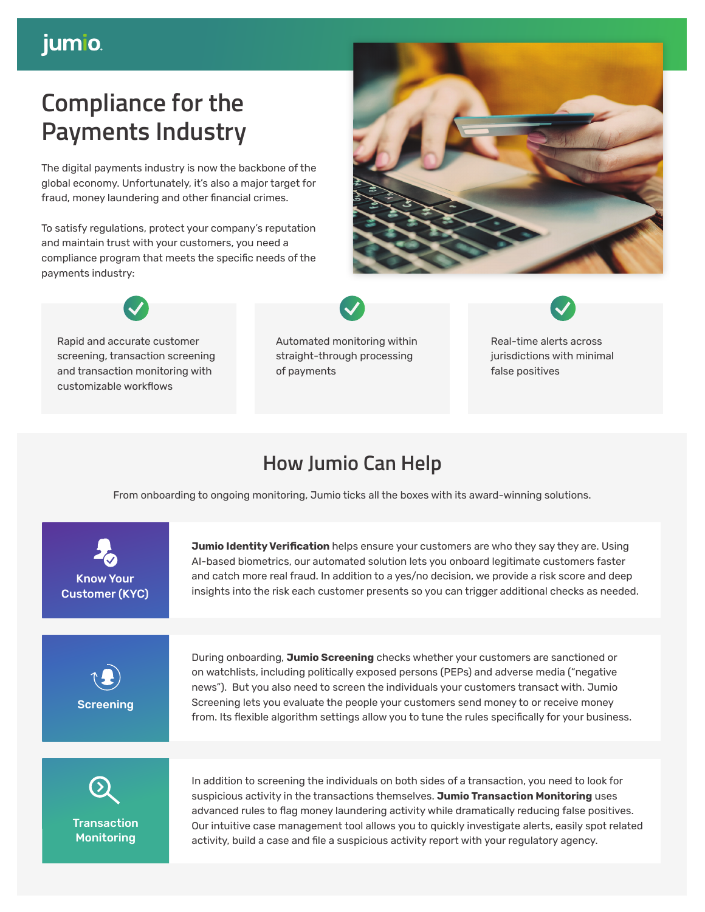## jumio.

# **Compliance for the Payments Industry**

The digital payments industry is now the backbone of the global economy. Unfortunately, it's also a major target for fraud, money laundering and other financial crimes.

To satisfy regulations, protect your company's reputation and maintain trust with your customers, you need a compliance program that meets the specific needs of the payments industry:





Rapid and accurate customer screening, transaction screening and transaction monitoring with customizable workflows

Automated monitoring within straight-through processing of payments



## **How Jumio Can Help**

From onboarding to ongoing monitoring, Jumio ticks all the boxes with its award-winning solutions.